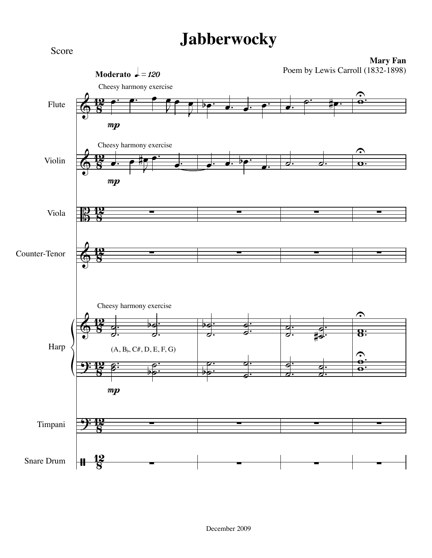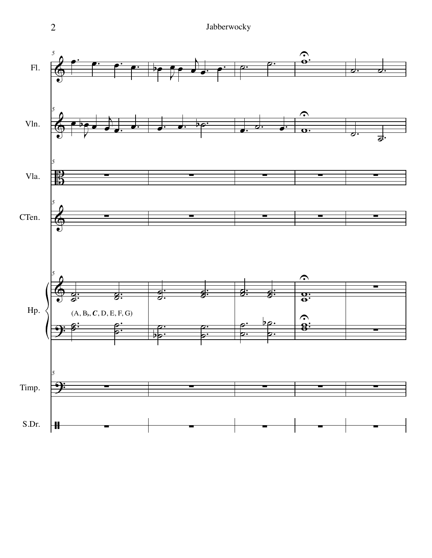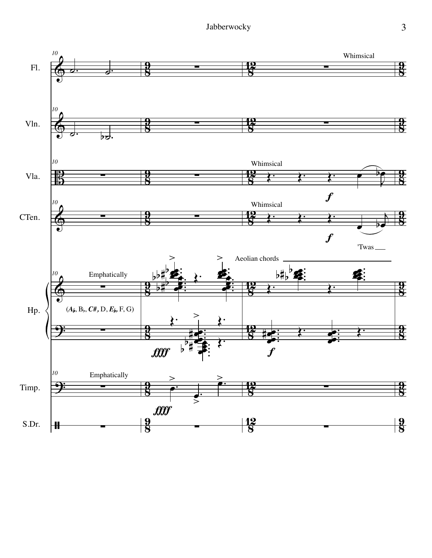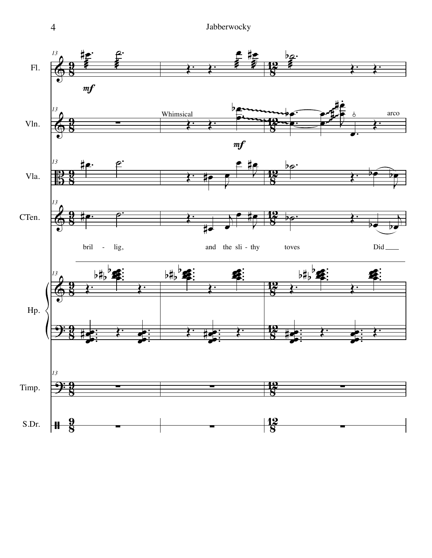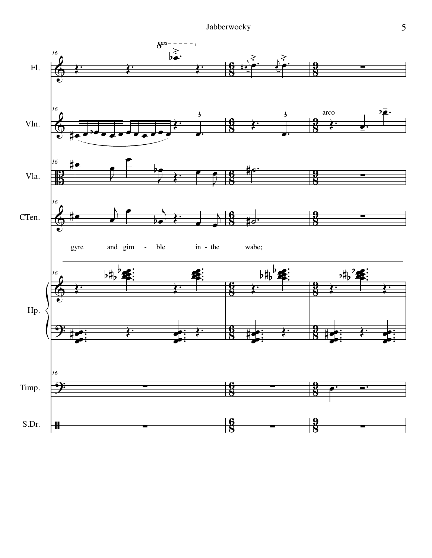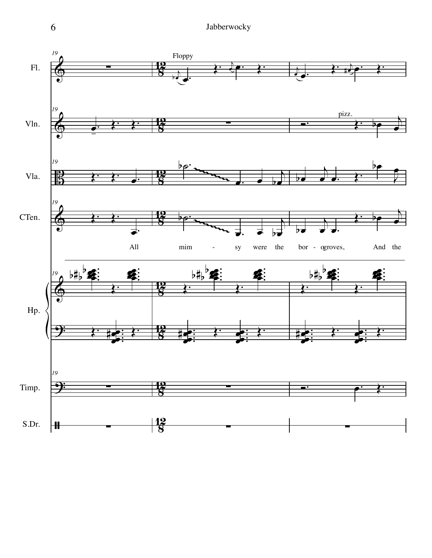

 $\overline{6}$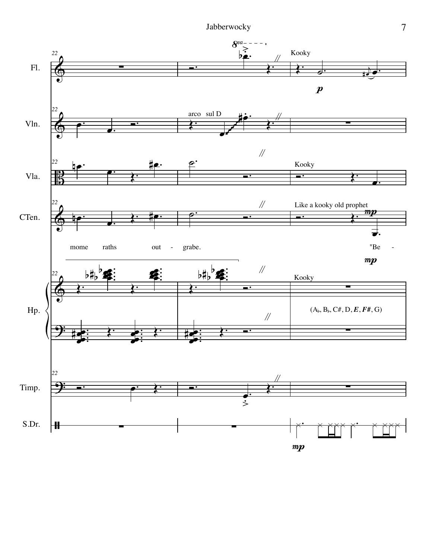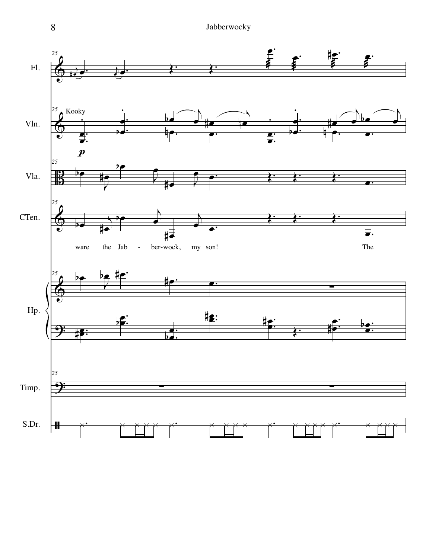

 $\overline{8}$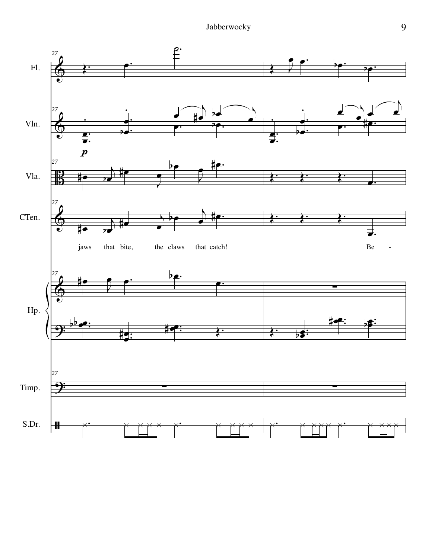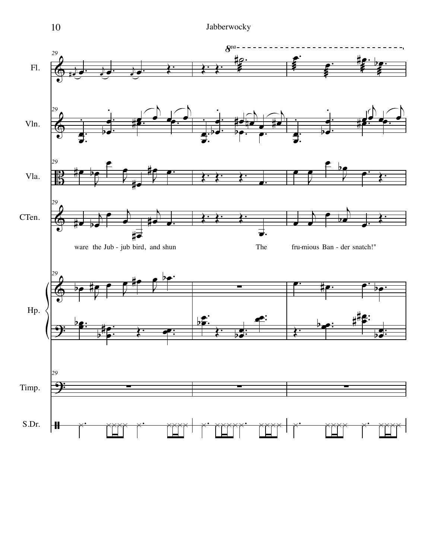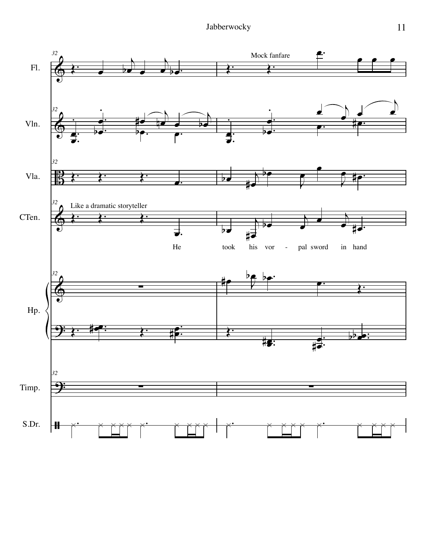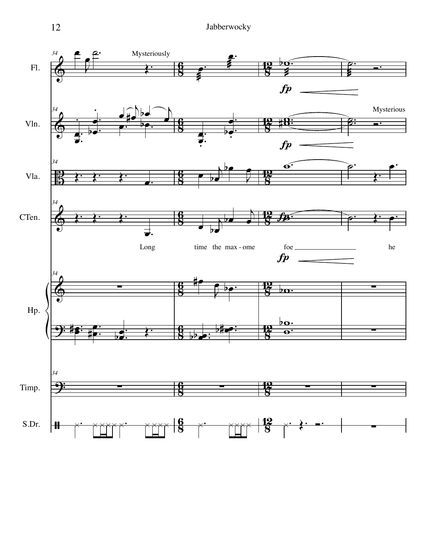

 $12\,$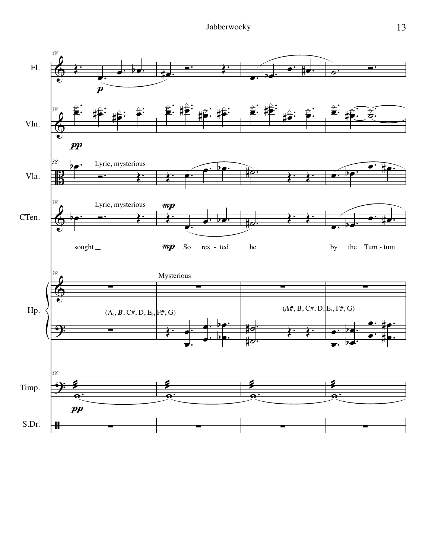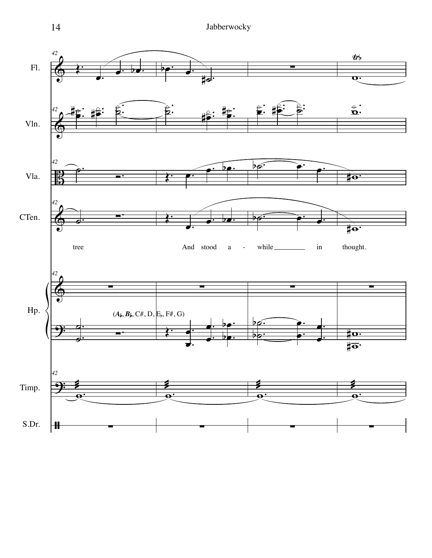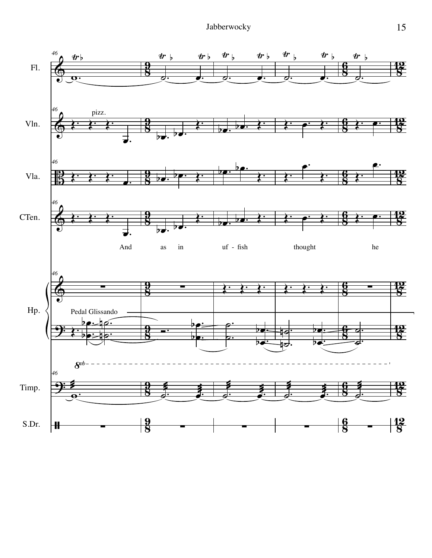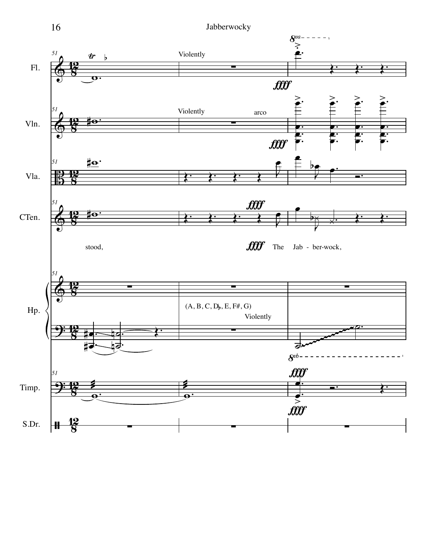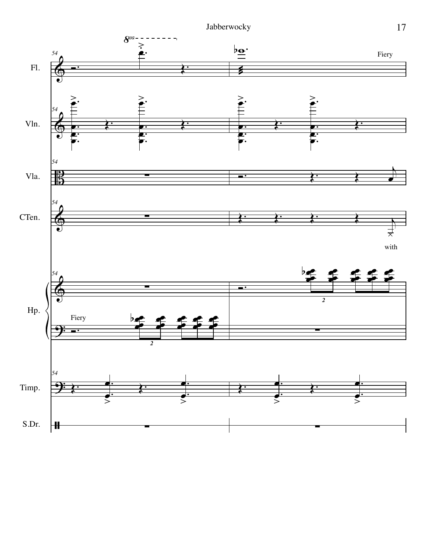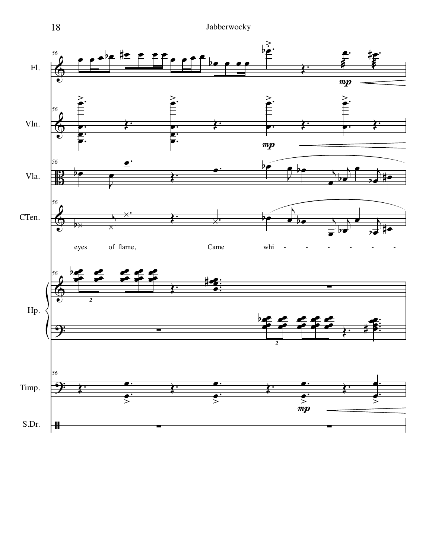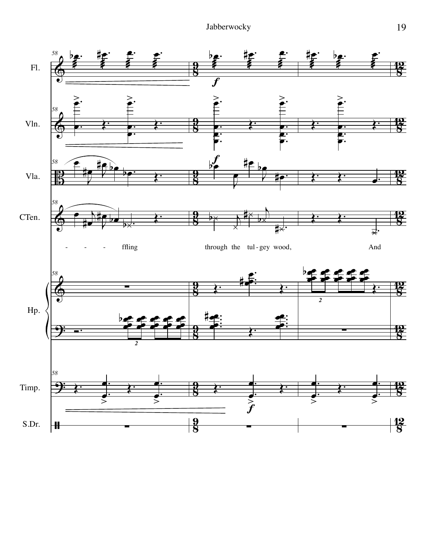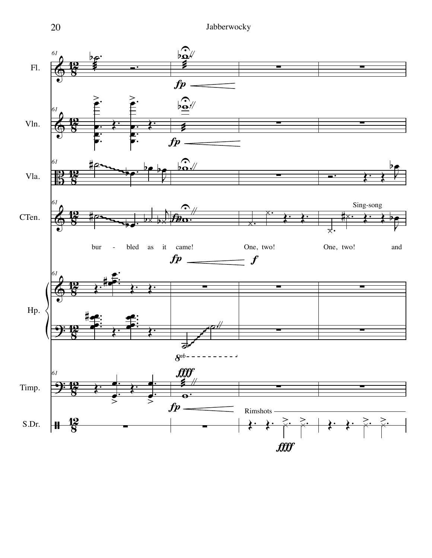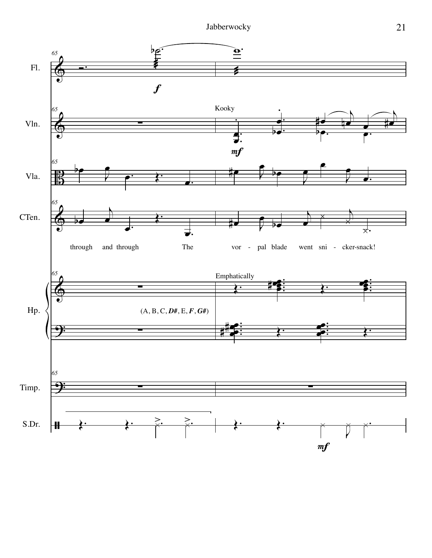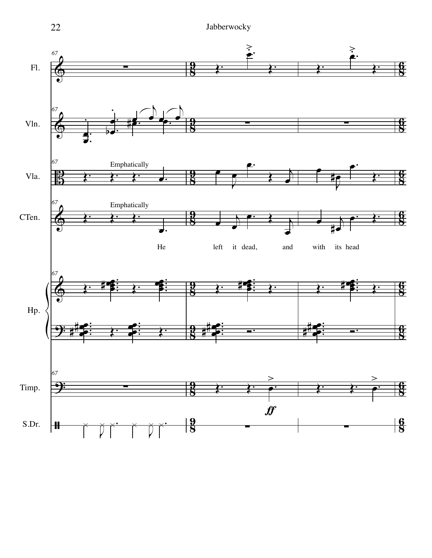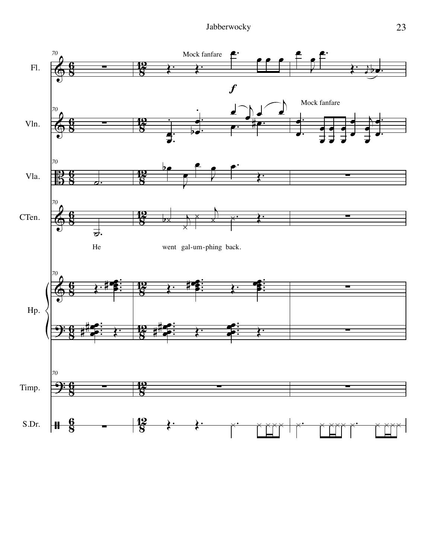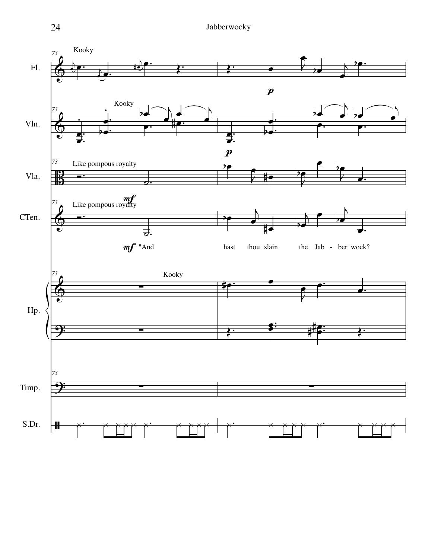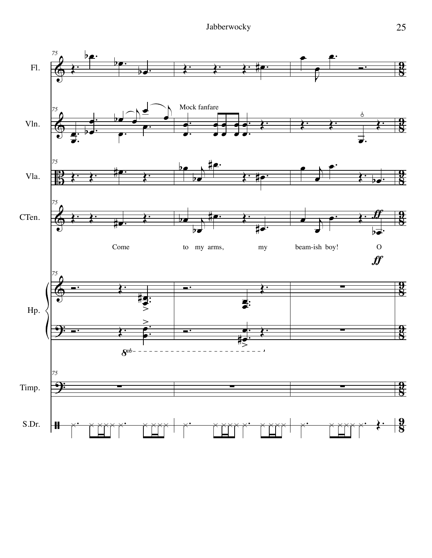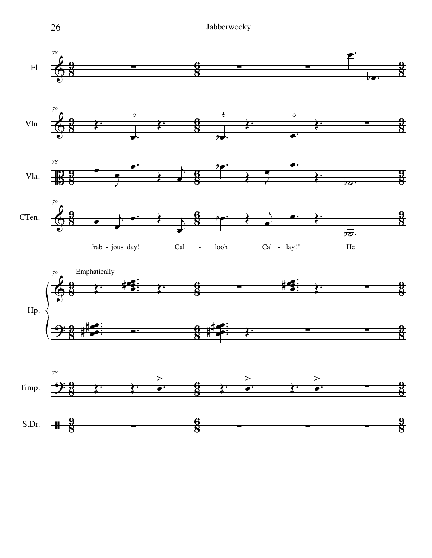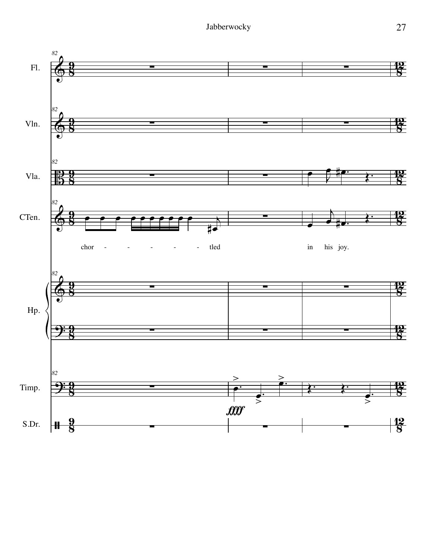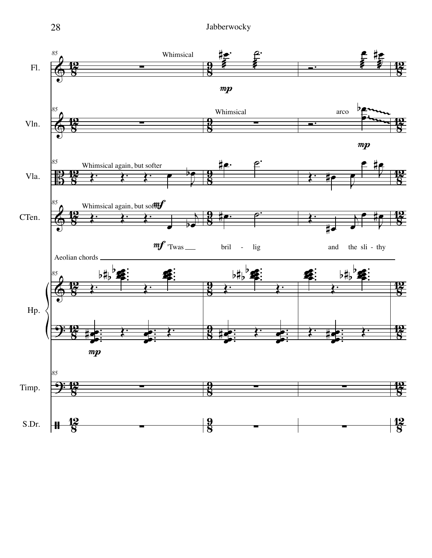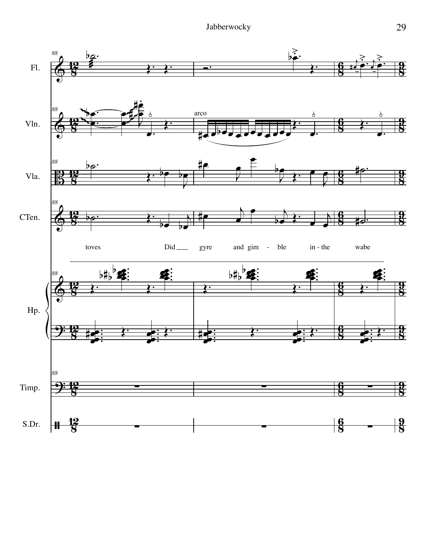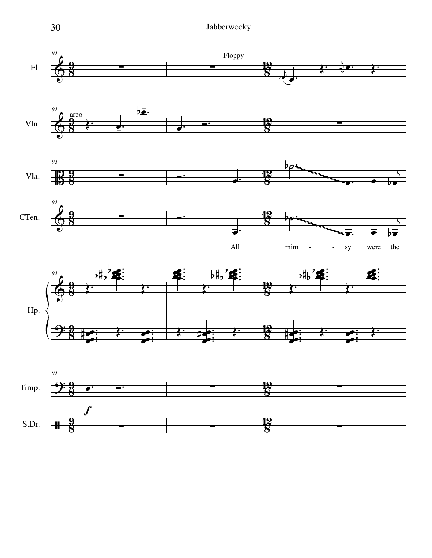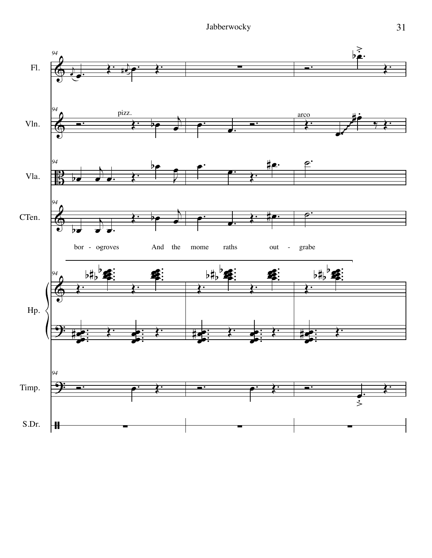